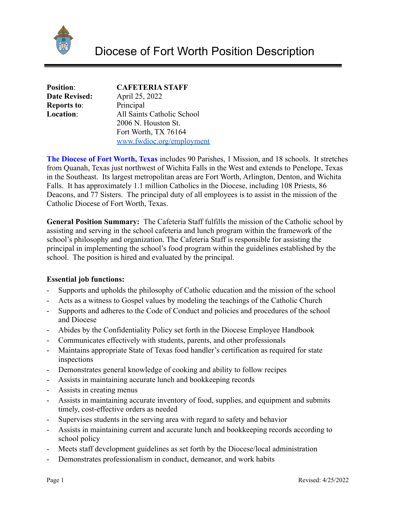

| <b>Position:</b>     | <b>CAFETERIA STAFF</b>     |
|----------------------|----------------------------|
| <b>Date Revised:</b> | April 25, 2022             |
| <b>Reports to:</b>   | Principal                  |
| <b>Location:</b>     | All Saints Catholic School |
|                      | 2006 N. Houston St.        |
|                      | Fort Worth, TX 76164       |
|                      | www.fwdioc.org/employment  |

**The Diocese of Fort Worth, Texas** includes 90 Parishes, 1 Mission, and 18 schools. It stretches from Quanah, Texas just northwest of Wichita Falls in the West and extends to Penelope, Texas in the Southeast. Its largest metropolitan areas are Fort Worth, Arlington, Denton, and Wichita Falls. It has approximately 1.1 million Catholics in the Diocese, including 108 Priests, 86 Deacons, and 77 Sisters. The principal duty of all employees is to assist in the mission of the Catholic Diocese of Fort Worth, Texas.

**General Position Summary:** The Cafeteria Staff fulfills the mission of the Catholic school by assisting and serving in the school cafeteria and lunch program within the framework of the school's philosophy and organization. The Cafeteria Staff is responsible for assisting the principal in implementing the school's food program within the guidelines established by the school. The position is hired and evaluated by the principal.

## **Essential job functions:**

- Supports and upholds the philosophy of Catholic education and the mission of the school
- Acts as a witness to Gospel values by modeling the teachings of the Catholic Church
- Supports and adheres to the Code of Conduct and policies and procedures of the school and Diocese
- Abides by the Confidentiality Policy set forth in the Diocese Employee Handbook
- Communicates effectively with students, parents, and other professionals
- Maintains appropriate State of Texas food handler's certification as required for state inspections
- Demonstrates general knowledge of cooking and ability to follow recipes
- Assists in maintaining accurate lunch and bookkeeping records
- Assists in creating menus
- Assists in maintaining accurate inventory of food, supplies, and equipment and submits timely, cost-effective orders as needed
- Supervises students in the serving area with regard to safety and behavior
- Assists in maintaining current and accurate lunch and bookkeeping records according to school policy
- Meets staff development guidelines as set forth by the Diocese/local administration
- Demonstrates professionalism in conduct, demeanor, and work habits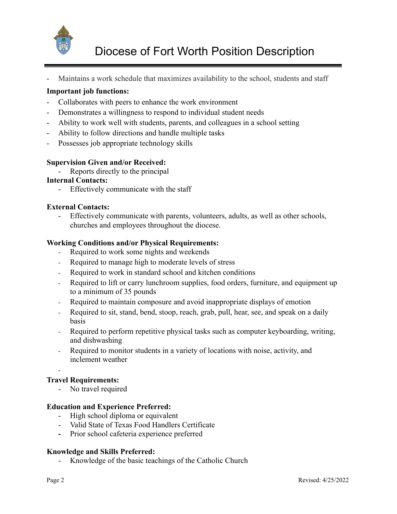

Maintains a work schedule that maximizes availability to the school, students and staff

# **Important job functions:**

- Collaborates with peers to enhance the work environment
- Demonstrates a willingness to respond to individual student needs
- Ability to work well with students, parents, and colleagues in a school setting
- Ability to follow directions and handle multiple tasks
- Possesses job appropriate technology skills

## **Supervision Given and/or Received:**

Reports directly to the principal

#### **Internal Contacts:**

- Effectively communicate with the staff

## **External Contacts:**

- Effectively communicate with parents, volunteers, adults, as well as other schools, churches and employees throughout the diocese.

## **Working Conditions and/or Physical Requirements:**

- Required to work some nights and weekends
- Required to manage high to moderate levels of stress
- Required to work in standard school and kitchen conditions
- Required to lift or carry lunchroom supplies, food orders, furniture, and equipment up to a minimum of 35 pounds
- Required to maintain composure and avoid inappropriate displays of emotion
- Required to sit, stand, bend, stoop, reach, grab, pull, hear, see, and speak on a daily basis
- Required to perform repetitive physical tasks such as computer keyboarding, writing, and dishwashing
- Required to monitor students in a variety of locations with noise, activity, and inclement weather

-

## **Travel Requirements:**

- No travel required

## **Education and Experience Preferred:**

- High school diploma or equivalent
- Valid State of Texas Food Handlers Certificate
- **-** Prior school cafeteria experience preferred

#### **Knowledge and Skills Preferred:**

- Knowledge of the basic teachings of the Catholic Church